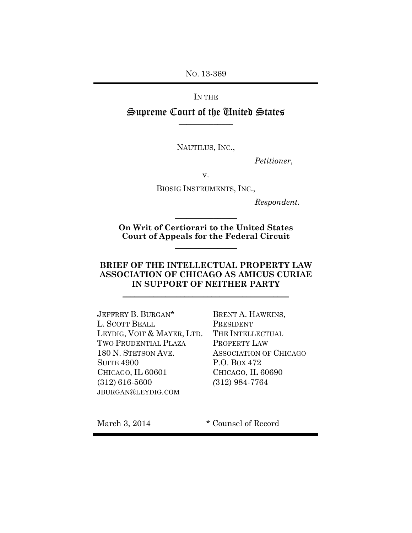NO. 13-369

IN THE

Supreme Court of the United States **\_\_\_\_\_\_\_\_\_\_\_\_\_\_**

NAUTILUS, INC.,

*Petitioner*,

v.

BIOSIG INSTRUMENTS, INC.,

*Respondent*.

**On Writ of Certiorari to the United States Court of Appeals for the Federal Circuit**  $\frac{1}{2}$ 

 $\frac{1}{2}$ 

### **BRIEF OF THE INTELLECTUAL PROPERTY LAW ASSOCIATION OF CHICAGO AS AMICUS CURIAE IN SUPPORT OF NEITHER PARTY**

\_\_\_\_\_\_\_\_\_\_\_\_\_\_\_\_\_\_\_\_\_\_\_\_\_\_\_\_\_\_\_\_\_\_\_\_\_\_\_\_\_\_\_

JEFFREY B. BURGAN\* L. SCOTT BEALL LEYDIG, VOIT & MAYER, LTD. TWO PRUDENTIAL PLAZA 180 N. STETSON AVE. SUITE 4900 CHICAGO, IL 60601 (312) 616-5600 JBURGAN@LEYDIG.COM

BRENT A. HAWKINS, PRESIDENT THE INTELLECTUAL PROPERTY LAW ASSOCIATION OF CHICAGO P.O. BOX 472 CHICAGO, IL 60690 *(*312) 984-7764

March 3, 2014 \* Counsel of Record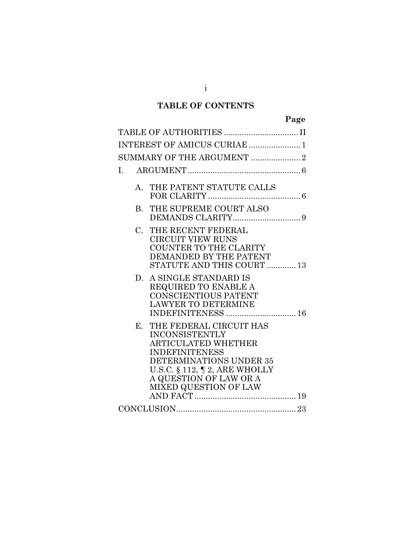## **TABLE OF CONTENTS**

| ÷<br>Ω<br>. .<br>ч |
|--------------------|
|--------------------|

| INTEREST OF AMICUS CURIAE  1                                                                                                                                                                                                                 |
|----------------------------------------------------------------------------------------------------------------------------------------------------------------------------------------------------------------------------------------------|
| SUMMARY OF THE ARGUMENT 2                                                                                                                                                                                                                    |
| L.                                                                                                                                                                                                                                           |
| THE PATENT STATUTE CALLS<br>$\mathsf{A}$                                                                                                                                                                                                     |
| THE SUPREME COURT ALSO<br>$\bf{B}$                                                                                                                                                                                                           |
| THE RECENT FEDERAL<br>$C_{\cdot}$<br><b>CIRCUIT VIEW RUNS</b><br>COUNTER TO THE CLARITY<br>DEMANDED BY THE PATENT<br>STATUTE AND THIS COURT  13                                                                                              |
| A SINGLE STANDARD IS<br>D.<br>REQUIRED TO ENABLE A<br><b>CONSCIENTIOUS PATENT</b><br><b>LAWYER TO DETERMINE</b><br>INDEFINITENESS  16                                                                                                        |
| THE FEDERAL CIRCUIT HAS<br>$\mathbf{E}$<br><b>INCONSISTENTLY</b><br>ARTICULATED WHETHER<br><b>INDEFINITENESS</b><br>DETERMINATIONS UNDER 35<br>U.S.C. $\S$ 112, $\P$ 2, ARE WHOLLY<br>A QUESTION OF LAW OR A<br><b>MIXED QUESTION OF LAW</b> |
| $\textbf{CONCLUSION}.\textcolor{red}{\textbf{23}}$                                                                                                                                                                                           |

i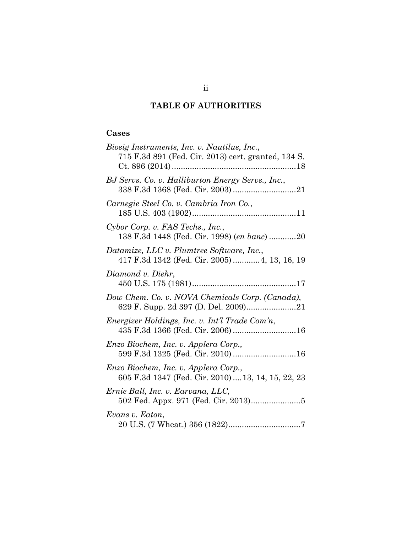## **TABLE OF AUTHORITIES**

## <span id="page-2-0"></span>**Cases**

| Biosig Instruments, Inc. v. Nautilus, Inc.,<br>715 F.3d 891 (Fed. Cir. 2013) cert. granted, 134 S. |
|----------------------------------------------------------------------------------------------------|
| BJ Servs. Co. v. Halliburton Energy Servs., Inc.,                                                  |
| Carnegie Steel Co. v. Cambria Iron Co.,                                                            |
| Cybor Corp. v. FAS Techs., Inc.,<br>138 F.3d 1448 (Fed. Cir. 1998) (en banc) 20                    |
| Datamize, LLC v. Plumtree Software, Inc.,<br>417 F.3d 1342 (Fed. Cir. 2005) 4, 13, 16, 19          |
| Diamond v. Diehr,                                                                                  |
| Dow Chem. Co. v. NOVA Chemicals Corp. (Canada),                                                    |
| Energizer Holdings, Inc. v. Int'l Trade Com'n,<br>435 F.3d 1366 (Fed. Cir. 2006) 16                |
| Enzo Biochem, Inc. v. Applera Corp.,<br>599 F.3d 1325 (Fed. Cir. 2010)  16                         |
| Enzo Biochem, Inc. v. Applera Corp.,<br>605 F.3d 1347 (Fed. Cir. 2010)  13, 14, 15, 22, 23         |
| Ernie Ball, Inc. v. Earvana, LLC,                                                                  |
| Evans v. Eaton,                                                                                    |

ii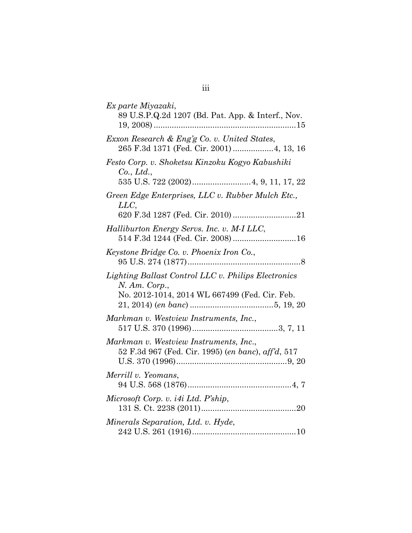| Ex parte Miyazaki,<br>89 U.S.P.Q.2d 1207 (Bd. Pat. App. & Interf., Nov.                                                 |
|-------------------------------------------------------------------------------------------------------------------------|
| Exxon Research & Eng'g Co. v. United States,<br>265 F.3d 1371 (Fed. Cir. 2001)4, 13, 16                                 |
| Festo Corp. v. Shoketsu Kinzoku Kogyo Kabushiki<br>Co., Ltd.,                                                           |
| Green Edge Enterprises, LLC v. Rubber Mulch Etc.,<br>LLC,                                                               |
| Halliburton Energy Servs. Inc. v. M-I LLC,<br>514 F.3d 1244 (Fed. Cir. 2008)  16                                        |
| Keystone Bridge Co. v. Phoenix Iron Co.,                                                                                |
| Lighting Ballast Control LLC v. Philips Electronics<br>$N.$ Am. Corp.,<br>No. 2012-1014, 2014 WL 667499 (Fed. Cir. Feb. |
| Markman v. Westview Instruments, Inc.,                                                                                  |
| Markman v. Westview Instruments, Inc.,<br>52 F.3d 967 (Fed. Cir. 1995) (en banc), aff'd, 517                            |
| Merrill v. Yeomans,                                                                                                     |
| Microsoft Corp. v. i4i Ltd. P'ship,                                                                                     |
| Minerals Separation, Ltd. v. Hyde,                                                                                      |

# iii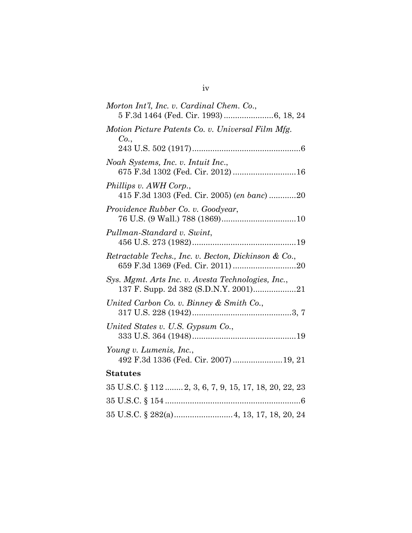| Morton Int'l, Inc. v. Cardinal Chem. Co.,                                |
|--------------------------------------------------------------------------|
| Motion Picture Patents Co. v. Universal Film Mfg.<br>Co.,                |
|                                                                          |
| Noah Systems, Inc. v. Intuit Inc.,<br>675 F.3d 1302 (Fed. Cir. 2012)  16 |
| Phillips v. AWH Corp.,<br>415 F.3d 1303 (Fed. Cir. 2005) (en banc) 20    |
| Providence Rubber Co. v. Goodyear,                                       |
| Pullman-Standard v. Swint,                                               |
| Retractable Techs., Inc. v. Becton, Dickinson & Co.,                     |
| Sys. Mgmt. Arts Inc. v. Avesta Technologies, Inc.,                       |
| United Carbon Co. v. Binney & Smith Co.,                                 |
| United States v. U.S. Gypsum Co.,                                        |
| Young v. Lumenis, Inc.,<br>492 F.3d 1336 (Fed. Cir. 2007) 19, 21         |
| <b>Statutes</b>                                                          |
| 35 U.S.C. § 112  2, 3, 6, 7, 9, 15, 17, 18, 20, 22, 23                   |
|                                                                          |
| 35 U.S.C. § 282(a) 4, 13, 17, 18, 20, 24                                 |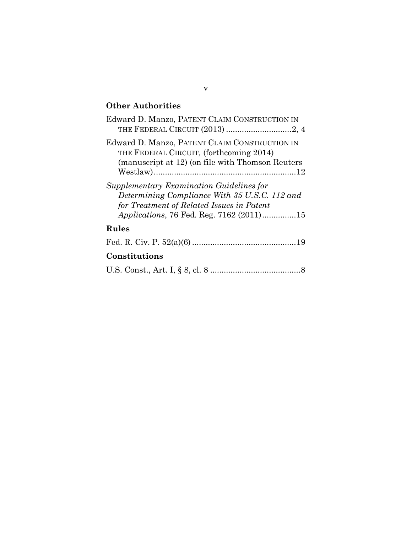## **Other Authorities**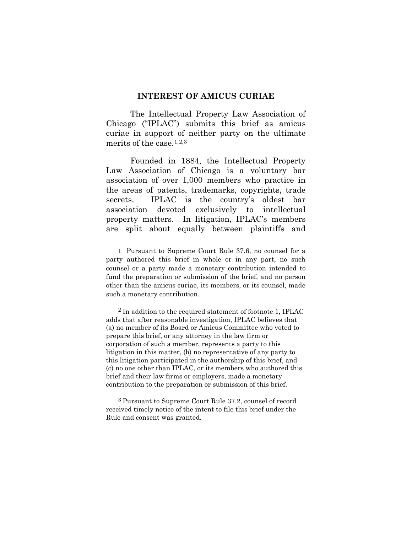#### **INTEREST OF AMICUS CURIAE**

<span id="page-6-0"></span>The Intellectual Property Law Association of Chicago ("IPLAC") submits this brief as amicus curiae in support of neither party on the ultimate merits of the case.  $1,2,3$  $1,2,3$  $1,2,3$ 

Founded in 1884, the Intellectual Property Law Association of Chicago is a voluntary bar association of over 1,000 members who practice in the areas of patents, trademarks, copyrights, trade secrets. IPLAC is the country's oldest bar association devoted exclusively to intellectual property matters. In litigation, IPLAC's members are split about equally between plaintiffs and

 $\overline{a}$ 

<span id="page-6-2"></span>2 In addition to the required statement of footnote 1, IPLAC adds that after reasonable investigation, IPLAC believes that (a) no member of its Board or Amicus Committee who voted to prepare this brief, or any attorney in the law firm or corporation of such a member, represents a party to this litigation in this matter, (b) no representative of any party to this litigation participated in the authorship of this brief, and (c) no one other than IPLAC, or its members who authored this brief and their law firms or employers, made a monetary contribution to the preparation or submission of this brief.

<span id="page-6-3"></span>3 Pursuant to Supreme Court Rule 37.2, counsel of record received timely notice of the intent to file this brief under the Rule and consent was granted.

<span id="page-6-1"></span><sup>1</sup> Pursuant to Supreme Court Rule 37.6, no counsel for a party authored this brief in whole or in any part, no such counsel or a party made a monetary contribution intended to fund the preparation or submission of the brief, and no person other than the amicus curiae, its members, or its counsel, made such a monetary contribution.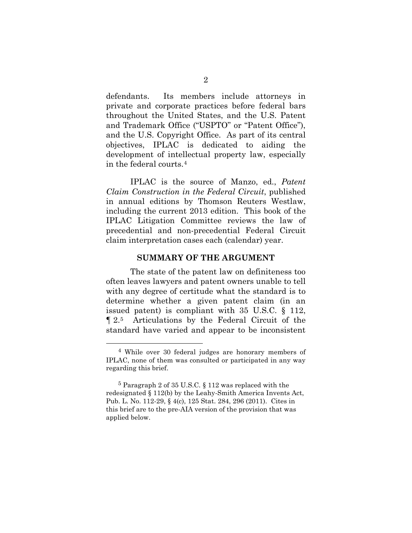defendants. Its members include attorneys in private and corporate practices before federal bars throughout the United States, and the U.S. Patent and Trademark Office ("USPTO" or "Patent Office"), and the U.S. Copyright Office. As part of its central objectives, IPLAC is dedicated to aiding the development of intellectual property law, especially in the federal courts.[4](#page-7-1)

IPLAC is the source of Manzo, ed., *Patent Claim Construction in the Federal Circuit*, published in annual editions by Thomson Reuters Westlaw, including the current 2013 edition. This book of the IPLAC Litigation Committee reviews the law of precedential and non-precedential Federal Circuit claim interpretation cases each (calendar) year.

#### **SUMMARY OF THE ARGUMENT**

<span id="page-7-0"></span>The state of the patent law on definiteness too often leaves lawyers and patent owners unable to tell with any degree of certitude what the standard is to determine whether a given patent claim (in an issued patent) is compliant with 35 U.S.C. § 112, ¶ 2.[5](#page-7-2) Articulations by the Federal Circuit of the standard have varied and appear to be inconsistent

<span id="page-7-1"></span> <sup>4</sup> While over 30 federal judges are honorary members of IPLAC, none of them was consulted or participated in any way regarding this brief.

<span id="page-7-2"></span><sup>5</sup> Paragraph 2 of 35 U.S.C. § 112 was replaced with the redesignated § 112(b) by the Leahy-Smith America Invents Act, Pub. L. No. 112-29, § 4(c), 125 Stat. 284, 296 (2011). Cites in this brief are to the pre-AIA version of the provision that was applied below.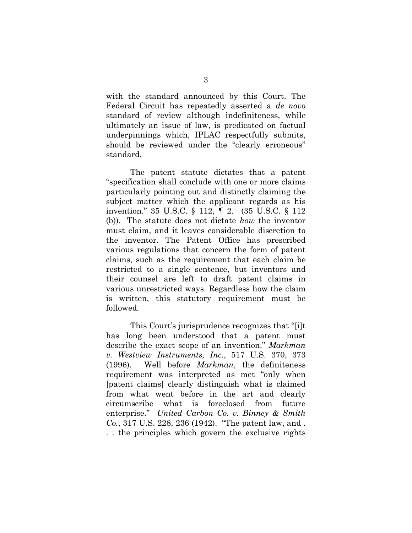with the standard announced by this Court. The Federal Circuit has repeatedly asserted a *de novo*  standard of review although indefiniteness, while ultimately an issue of law, is predicated on factual underpinnings which, IPLAC respectfully submits, should be reviewed under the "clearly erroneous" standard.

The patent statute dictates that a patent "specification shall conclude with one or more claims particularly pointing out and distinctly claiming the subject matter which the applicant regards as his invention." 35 U.S.C. § 112, ¶ 2. (35 U.S.C. § 112 (b)). The statute does not dictate *how* the inventor must claim, and it leaves considerable discretion to the inventor. The Patent Office has prescribed various regulations that concern the form of patent claims, such as the requirement that each claim be restricted to a single sentence, but inventors and their counsel are left to draft patent claims in various unrestricted ways. Regardless how the claim is written, this statutory requirement must be followed.

This Court's jurisprudence recognizes that "[i]t has long been understood that a patent must describe the exact scope of an invention." *Markman v. Westview Instruments, Inc.*, 517 U.S. 370, 373 (1996). Well before *Markman*, the definiteness requirement was interpreted as met "only when [patent claims] clearly distinguish what is claimed from what went before in the art and clearly circumscribe what is foreclosed from future enterprise." *United Carbon Co. v. Binney & Smith Co.*, 317 U.S. 228, 236 (1942). "The patent law, and . . . the principles which govern the exclusive rights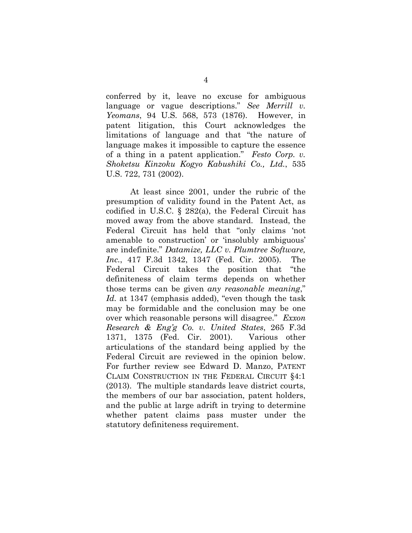conferred by it, leave no excuse for ambiguous language or vague descriptions." *See Merrill v. Yeomans*, 94 U.S. 568, 573 (1876). However, in patent litigation, this Court acknowledges the limitations of language and that "the nature of language makes it impossible to capture the essence of a thing in a patent application." *Festo Corp. v. Shoketsu Kinzoku Kogyo Kabushiki Co., Ltd.*, 535 U.S. 722, 731 (2002).

At least since 2001, under the rubric of the presumption of validity found in the Patent Act, as codified in U.S.C. § 282(a), the Federal Circuit has moved away from the above standard. Instead, the Federal Circuit has held that "only claims 'not amenable to construction' or 'insolubly ambiguous' are indefinite." *Datamize, LLC v. Plumtree Software, Inc.*, 417 F.3d 1342, 1347 (Fed. Cir. 2005). The Federal Circuit takes the position that "the definiteness of claim terms depends on whether those terms can be given *any reasonable meaning*," *Id.* at 1347 (emphasis added), "even though the task may be formidable and the conclusion may be one over which reasonable persons will disagree." *Exxon Research & Eng'g Co. v. United States*, 265 F.3d 1371, 1375 (Fed. Cir. 2001). Various other articulations of the standard being applied by the Federal Circuit are reviewed in the opinion below. For further review see Edward D. Manzo, PATENT CLAIM CONSTRUCTION IN THE FEDERAL CIRCUIT §4:1 (2013). The multiple standards leave district courts, the members of our bar association, patent holders, and the public at large adrift in trying to determine whether patent claims pass muster under the statutory definiteness requirement.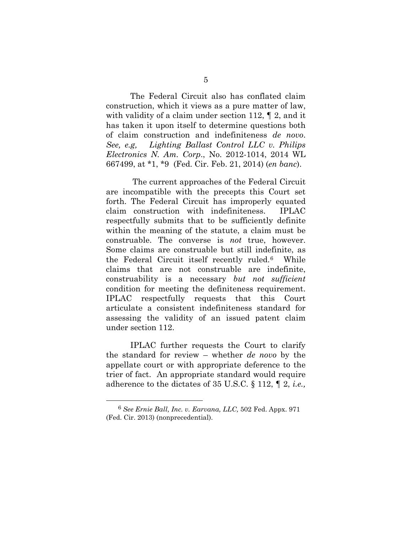The Federal Circuit also has conflated claim construction, which it views as a pure matter of law, with validity of a claim under section 112, ¶ 2, and it has taken it upon itself to determine questions both of claim construction and indefiniteness *de novo*. *See, e.g, Lighting Ballast Control LLC v. Philips Electronics N. Am. Corp*., No. 2012-1014, 2014 WL 667499, at \*1, \*9 (Fed. Cir. Feb. 21, 2014) (*en banc*).

The current approaches of the Federal Circuit are incompatible with the precepts this Court set forth. The Federal Circuit has improperly equated claim construction with indefiniteness. IPLAC respectfully submits that to be sufficiently definite within the meaning of the statute, a claim must be construable. The converse is *not* true, however. Some claims are construable but still indefinite, as the Federal Circuit itself recently ruled.[6](#page-10-0) While claims that are not construable are indefinite, construability is a necessary *but not sufficient* condition for meeting the definiteness requirement. IPLAC respectfully requests that this Court articulate a consistent indefiniteness standard for assessing the validity of an issued patent claim under section 112.

IPLAC further requests the Court to clarify the standard for review – whether *de novo* by the appellate court or with appropriate deference to the trier of fact. An appropriate standard would require adherence to the dictates of 35 U.S.C. § 112, ¶ 2, *i.e.,*

<span id="page-10-0"></span> <sup>6</sup> *See Ernie Ball, Inc. v. Earvana, LLC,* 502 Fed. Appx. 971 (Fed. Cir. 2013) (nonprecedential).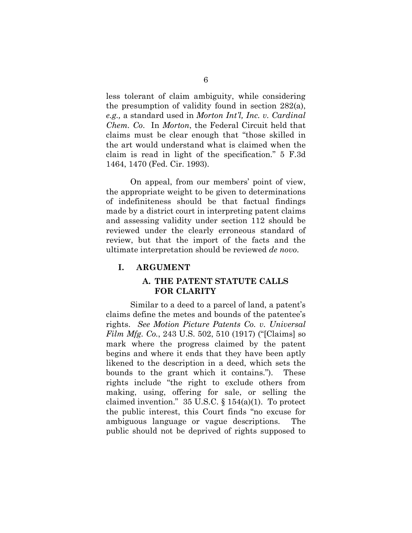less tolerant of claim ambiguity, while considering the presumption of validity found in section 282(a), *e.g.,* a standard used in *Morton Int'l, Inc. v. Cardinal Chem. Co*. In *Morton*, the Federal Circuit held that claims must be clear enough that "those skilled in the art would understand what is claimed when the claim is read in light of the specification." 5 F.3d 1464, 1470 (Fed. Cir. 1993).

On appeal, from our members' point of view, the appropriate weight to be given to determinations of indefiniteness should be that factual findings made by a district court in interpreting patent claims and assessing validity under section 112 should be reviewed under the clearly erroneous standard of review, but that the import of the facts and the ultimate interpretation should be reviewed *de novo*.

#### <span id="page-11-1"></span><span id="page-11-0"></span>**I. ARGUMENT**

### **A. THE PATENT STATUTE CALLS FOR CLARITY**

Similar to a deed to a parcel of land, a patent's claims define the metes and bounds of the patentee's rights. *See Motion Picture Patents Co. v. Universal Film Mfg. Co.*, 243 U.S. 502, 510 (1917) ("[Claims] so mark where the progress claimed by the patent begins and where it ends that they have been aptly likened to the description in a deed, which sets the bounds to the grant which it contains."). These rights include "the right to exclude others from making, using, offering for sale, or selling the claimed invention."  $35 \text{ U.S.C.}$  §  $154(a)(1)$ . To protect the public interest, this Court finds "no excuse for ambiguous language or vague descriptions. The public should not be deprived of rights supposed to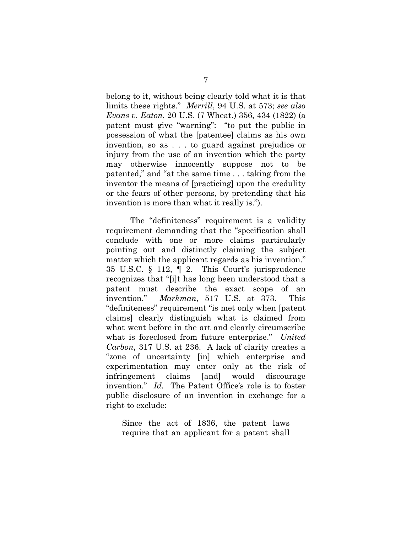belong to it, without being clearly told what it is that limits these rights." *Merrill*, 94 U.S. at 573; *see also Evans v. Eaton*, 20 U.S. (7 Wheat.) 356, 434 (1822) (a patent must give "warning": "to put the public in possession of what the [patentee] claims as his own invention, so as . . . to guard against prejudice or injury from the use of an invention which the party may otherwise innocently suppose not to be patented," and "at the same time . . . taking from the inventor the means of [practicing] upon the credulity or the fears of other persons, by pretending that his invention is more than what it really is.").

The "definiteness" requirement is a validity requirement demanding that the "specification shall conclude with one or more claims particularly pointing out and distinctly claiming the subject matter which the applicant regards as his invention." 35 U.S.C. § 112, ¶ 2. This Court's jurisprudence recognizes that "[i]t has long been understood that a patent must describe the exact scope of an invention." *Markman*, 517 U.S. at 373. This "definiteness" requirement "is met only when [patent claims] clearly distinguish what is claimed from what went before in the art and clearly circumscribe what is foreclosed from future enterprise." *United Carbon*, 317 U.S. at 236. A lack of clarity creates a "zone of uncertainty [in] which enterprise and experimentation may enter only at the risk of infringement claims [and] would discourage invention." *Id.* The Patent Office's role is to foster public disclosure of an invention in exchange for a right to exclude:

Since the act of 1836, the patent laws require that an applicant for a patent shall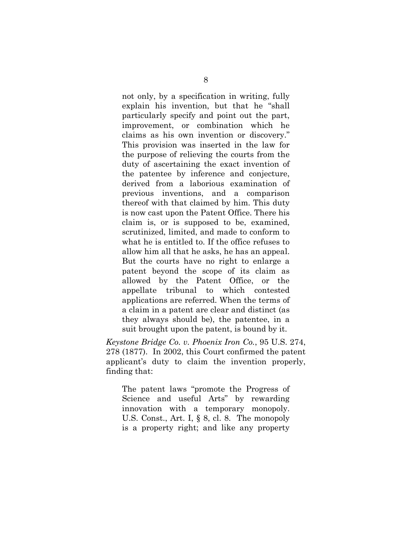not only, by a specification in writing, fully explain his invention, but that he "shall particularly specify and point out the part, improvement, or combination which he claims as his own invention or discovery." This provision was inserted in the law for the purpose of relieving the courts from the duty of ascertaining the exact invention of the patentee by inference and conjecture, derived from a laborious examination of previous inventions, and a comparison thereof with that claimed by him. This duty is now cast upon the Patent Office. There his claim is, or is supposed to be, examined, scrutinized, limited, and made to conform to what he is entitled to. If the office refuses to allow him all that he asks, he has an appeal. But the courts have no right to enlarge a patent beyond the scope of its claim as allowed by the Patent Office, or the appellate tribunal to which contested applications are referred. When the terms of a claim in a patent are clear and distinct (as they always should be), the patentee, in a suit brought upon the patent, is bound by it.

*Keystone Bridge Co. v. Phoenix Iron Co.*, 95 U.S. 274, 278 (1877). In 2002, this Court confirmed the patent applicant's duty to claim the invention properly, finding that:

The patent laws "promote the Progress of Science and useful Arts" by rewarding innovation with a temporary monopoly. U.S. Const., Art. I, § 8, cl. 8. The monopoly is a property right; and like any property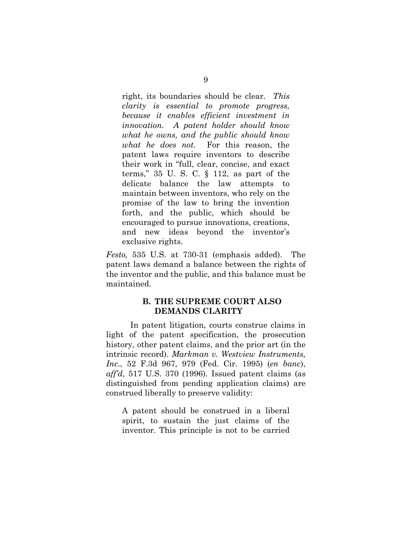right, its boundaries should be clear. *This clarity is essential to promote progress, because it enables efficient investment in innovation. A patent holder should know what he owns, and the public should know what he does not.* For this reason, the patent laws require inventors to describe their work in "full, clear, concise, and exact terms," 35 U. S. C. § 112, as part of the delicate balance the law attempts to maintain between inventors, who rely on the promise of the law to bring the invention forth, and the public, which should be encouraged to pursue innovations, creations, and new ideas beyond the inventor's exclusive rights.

*Festo,* 535 U.S. at 730-31 (emphasis added). The patent laws demand a balance between the rights of the inventor and the public, and this balance must be maintained.

### **B. THE SUPREME COURT ALSO DEMANDS CLARITY**

<span id="page-14-0"></span>In patent litigation, courts construe claims in light of the patent specification, the prosecution history, other patent claims, and the prior art (in the intrinsic record). *Markman v. Westview Instruments, Inc*., 52 F.3d 967, 979 (Fed. Cir. 1995) (*en banc*), *aff'd*, 517 U.S. 370 (1996). Issued patent claims (as distinguished from pending application claims) are construed liberally to preserve validity:

A patent should be construed in a liberal spirit, to sustain the just claims of the inventor. This principle is not to be carried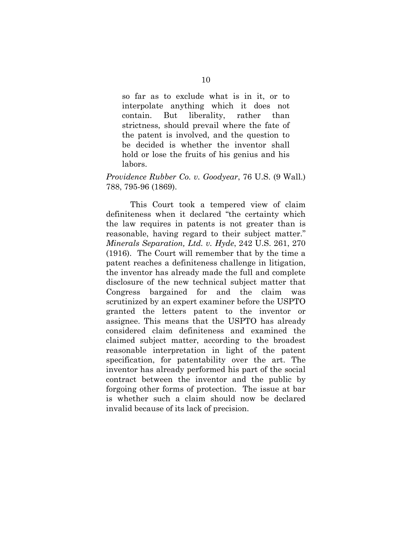so far as to exclude what is in it, or to interpolate anything which it does not contain. But liberality, rather than strictness, should prevail where the fate of the patent is involved, and the question to be decided is whether the inventor shall hold or lose the fruits of his genius and his labors.

#### *Providence Rubber Co. v. Goodyear*, 76 U.S. (9 Wall.) 788, 795-96 (1869).

This Court took a tempered view of claim definiteness when it declared "the certainty which the law requires in patents is not greater than is reasonable, having regard to their subject matter." *Minerals Separation, Ltd. v. Hyde*, 242 U.S. 261, 270 (1916). The Court will remember that by the time a patent reaches a definiteness challenge in litigation, the inventor has already made the full and complete disclosure of the new technical subject matter that Congress bargained for and the claim was scrutinized by an expert examiner before the USPTO granted the letters patent to the inventor or assignee. This means that the USPTO has already considered claim definiteness and examined the claimed subject matter, according to the broadest reasonable interpretation in light of the patent specification, for patentability over the art. The inventor has already performed his part of the social contract between the inventor and the public by forgoing other forms of protection. The issue at bar is whether such a claim should now be declared invalid because of its lack of precision.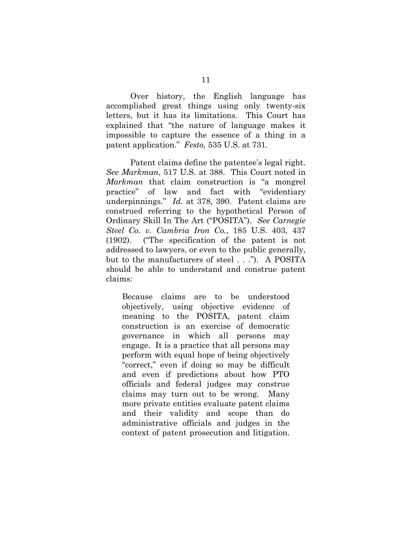Over history, the English language has accomplished great things using only twenty-six letters, but it has its limitations. This Court has explained that "the nature of language makes it impossible to capture the essence of a thing in a patent application." *Festo,* 535 U.S. at 731.

Patent claims define the patentee's legal right. *See Markman*, 517 U.S. at 388. This Court noted in *Markman* that claim construction is "a mongrel practice" of law and fact with "evidentiary underpinnings." *Id.* at 378, 390. Patent claims are construed referring to the hypothetical Person of Ordinary Skill In The Art ("POSITA"). *See Carnegie Steel Co. v. Cambria Iron Co.*, 185 U.S. 403, 437 (1902). ("The specification of the patent is not addressed to lawyers, or even to the public generally, but to the manufacturers of steel . . ."). A POSITA should be able to understand and construe patent claims:

Because claims are to be understood objectively, using objective evidence of meaning to the POSITA, patent claim construction is an exercise of democratic governance in which all persons may engage. It is a practice that all persons may perform with equal hope of being objectively "correct," even if doing so may be difficult and even if predictions about how PTO officials and federal judges may construe claims may turn out to be wrong. Many more private entities evaluate patent claims and their validity and scope than do administrative officials and judges in the context of patent prosecution and litigation.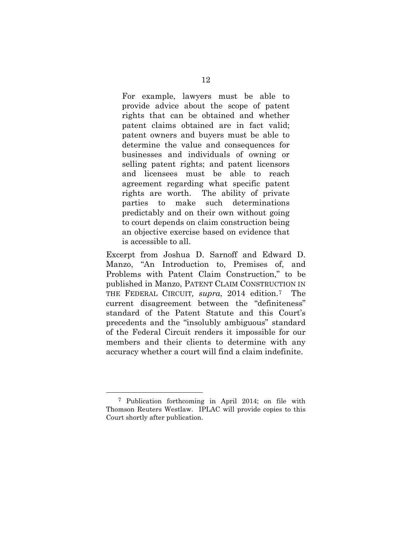For example, lawyers must be able to provide advice about the scope of patent rights that can be obtained and whether patent claims obtained are in fact valid; patent owners and buyers must be able to determine the value and consequences for businesses and individuals of owning or selling patent rights; and patent licensors and licensees must be able to reach agreement regarding what specific patent rights are worth. The ability of private parties to make such determinations predictably and on their own without going to court depends on claim construction being an objective exercise based on evidence that is accessible to all.

Excerpt from Joshua D. Sarnoff and Edward D. Manzo, "An Introduction to, Premises of, and Problems with Patent Claim Construction," to be published in Manzo, PATENT CLAIM CONSTRUCTION IN THE FEDERAL CIRCUIT*, supra*, 2014 edition.[7](#page-17-0) The current disagreement between the "definiteness" standard of the Patent Statute and this Court's precedents and the "insolubly ambiguous" standard of the Federal Circuit renders it impossible for our members and their clients to determine with any accuracy whether a court will find a claim indefinite.

<span id="page-17-0"></span> <sup>7</sup> Publication forthcoming in April 2014; on file with Thomson Reuters Westlaw. IPLAC will provide copies to this Court shortly after publication.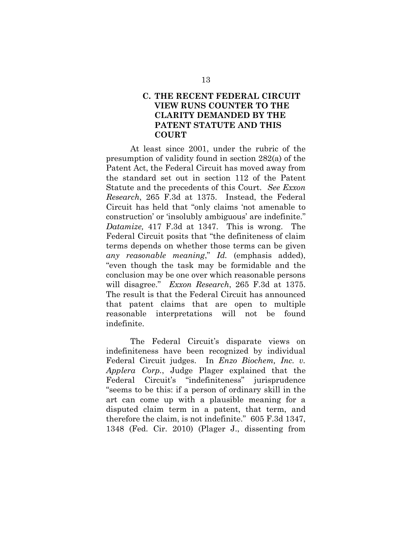## <span id="page-18-0"></span>**C. THE RECENT FEDERAL CIRCUIT VIEW RUNS COUNTER TO THE CLARITY DEMANDED BY THE PATENT STATUTE AND THIS COURT**

At least since 2001, under the rubric of the presumption of validity found in section 282(a) of the Patent Act, the Federal Circuit has moved away from the standard set out in section 112 of the Patent Statute and the precedents of this Court. *See Exxon Research*, 265 F.3d at 1375. Instead, the Federal Circuit has held that "only claims 'not amenable to construction' or 'insolubly ambiguous' are indefinite." *Datamize,* 417 F.3d at 1347. This is wrong. The Federal Circuit posits that "the definiteness of claim terms depends on whether those terms can be given *any reasonable meaning*," *Id.* (emphasis added), "even though the task may be formidable and the conclusion may be one over which reasonable persons will disagree." *Exxon Research*, 265 F.3d at 1375. The result is that the Federal Circuit has announced that patent claims that are open to multiple reasonable interpretations will not be found indefinite.

The Federal Circuit's disparate views on indefiniteness have been recognized by individual Federal Circuit judges. In *Enzo Biochem, Inc. v. Applera Corp.*, Judge Plager explained that the Federal Circuit's "indefiniteness" jurisprudence "seems to be this: if a person of ordinary skill in the art can come up with a plausible meaning for a disputed claim term in a patent, that term, and therefore the claim, is not indefinite." 605 F.3d 1347, 1348 (Fed. Cir. 2010) (Plager J., dissenting from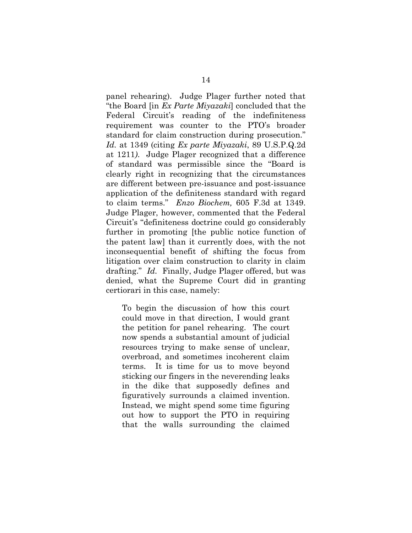panel rehearing). Judge Plager further noted that "the Board [in *Ex Parte Miyazaki*] concluded that the Federal Circuit's reading of the indefiniteness requirement was counter to the PTO's broader standard for claim construction during prosecution." *Id.* at 1349 (citing *Ex parte Miyazaki*, 89 U.S.P.Q.2d at 1211*)*. Judge Plager recognized that a difference of standard was permissible since the "Board is clearly right in recognizing that the circumstances are different between pre-issuance and post-issuance application of the definiteness standard with regard to claim terms." *Enzo Biochem,* 605 F.3d at 1349. Judge Plager, however, commented that the Federal Circuit's "definiteness doctrine could go considerably further in promoting [the public notice function of the patent law] than it currently does, with the not inconsequential benefit of shifting the focus from litigation over claim construction to clarity in claim drafting." *Id.* Finally, Judge Plager offered, but was denied, what the Supreme Court did in granting certiorari in this case, namely:

To begin the discussion of how this court could move in that direction, I would grant the petition for panel rehearing. The court now spends a substantial amount of judicial resources trying to make sense of unclear, overbroad, and sometimes incoherent claim terms. It is time for us to move beyond sticking our fingers in the neverending leaks in the dike that supposedly defines and figuratively surrounds a claimed invention. Instead, we might spend some time figuring out how to support the PTO in requiring that the walls surrounding the claimed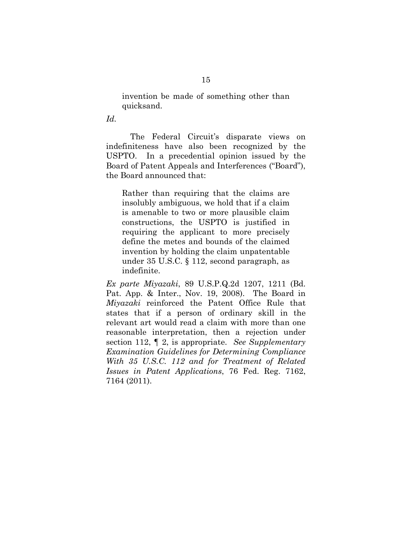invention be made of something other than quicksand.

*Id.* 

The Federal Circuit's disparate views on indefiniteness have also been recognized by the USPTO. In a precedential opinion issued by the Board of Patent Appeals and Interferences ("Board"), the Board announced that:

Rather than requiring that the claims are insolubly ambiguous, we hold that if a claim is amenable to two or more plausible claim constructions, the USPTO is justified in requiring the applicant to more precisely define the metes and bounds of the claimed invention by holding the claim unpatentable under 35 U.S.C. § 112, second paragraph, as indefinite.

*Ex parte Miyazaki*, 89 U.S.P.Q.2d 1207, 1211 (Bd. Pat. App. & Inter., Nov. 19, 2008). The Board in *Miyazaki* reinforced the Patent Office Rule that states that if a person of ordinary skill in the relevant art would read a claim with more than one reasonable interpretation, then a rejection under section 112, ¶ 2, is appropriate. *See Supplementary Examination Guidelines for Determining Compliance With 35 U.S.C. 112 and for Treatment of Related Issues in Patent Applications*, 76 Fed. Reg. 7162, 7164 (2011).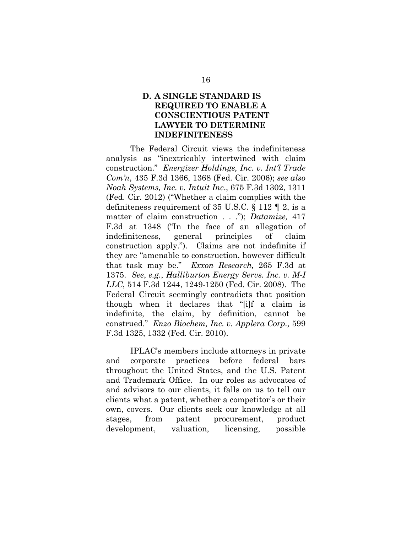## <span id="page-21-0"></span>**D. A SINGLE STANDARD IS REQUIRED TO ENABLE A CONSCIENTIOUS PATENT LAWYER TO DETERMINE INDEFINITENESS**

The Federal Circuit views the indefiniteness analysis as "inextricably intertwined with claim construction." *Energizer Holdings, Inc. v. Int'l Trade Com'n*, 435 F.3d 1366, 1368 (Fed. Cir. 2006); *see also Noah Systems, Inc. v. Intuit Inc*., 675 F.3d 1302, 1311 (Fed. Cir. 2012) ("Whether a claim complies with the definiteness requirement of 35 U.S.C. § 112 ¶ 2, is a matter of claim construction . . ."); *Datamize,* 417 F.3d at 1348 ("In the face of an allegation of indefiniteness, general principles of claim construction apply."). Claims are not indefinite if they are "amenable to construction, however difficult that task may be." *Exxon Research,* 265 F.3d at 1375. *See*, *e.g.*, *Halliburton Energy Servs. Inc. v. M-I LLC*, 514 F.3d 1244, 1249-1250 (Fed. Cir. 2008). The Federal Circuit seemingly contradicts that position though when it declares that "[i]f a claim is indefinite, the claim, by definition, cannot be construed." *Enzo Biochem, Inc. v. Applera Corp.,* 599 F.3d 1325, 1332 (Fed. Cir. 2010).

IPLAC's members include attorneys in private and corporate practices before federal bars throughout the United States, and the U.S. Patent and Trademark Office. In our roles as advocates of and advisors to our clients, it falls on us to tell our clients what a patent, whether a competitor's or their own, covers. Our clients seek our knowledge at all stages, from patent procurement, product development, valuation, licensing, possible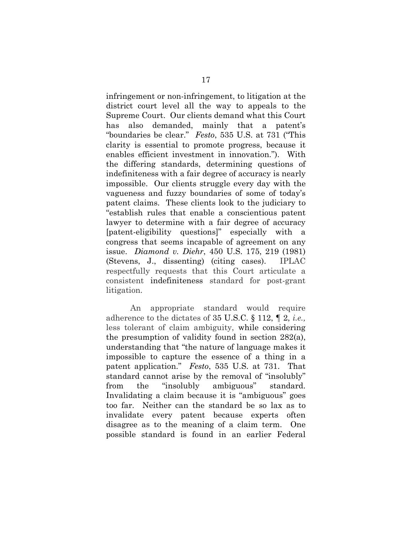infringement or non-infringement, to litigation at the district court level all the way to appeals to the Supreme Court. Our clients demand what this Court has also demanded, mainly that a patent's "boundaries be clear." *Festo*, 535 U.S. at 731 ("This clarity is essential to promote progress, because it enables efficient investment in innovation."). With the differing standards, determining questions of indefiniteness with a fair degree of accuracy is nearly impossible. Our clients struggle every day with the vagueness and fuzzy boundaries of some of today's patent claims. These clients look to the judiciary to "establish rules that enable a conscientious patent lawyer to determine with a fair degree of accuracy [patent-eligibility questions]" especially with a congress that seems incapable of agreement on any issue. *Diamond v. Diehr*, 450 U.S. 175, 219 (1981) (Stevens, J., dissenting) (citing cases). IPLAC respectfully requests that this Court articulate a consistent indefiniteness standard for post-grant litigation.

An appropriate standard would require adherence to the dictates of 35 U.S.C. § 112, ¶ 2, *i.e.,* less tolerant of claim ambiguity, while considering the presumption of validity found in section 282(a), understanding that "the nature of language makes it impossible to capture the essence of a thing in a patent application." *Festo*, 535 U.S. at 731. That standard cannot arise by the removal of "insolubly" from the "insolubly ambiguous" standard. Invalidating a claim because it is "ambiguous" goes too far. Neither can the standard be so lax as to invalidate every patent because experts often disagree as to the meaning of a claim term. One possible standard is found in an earlier Federal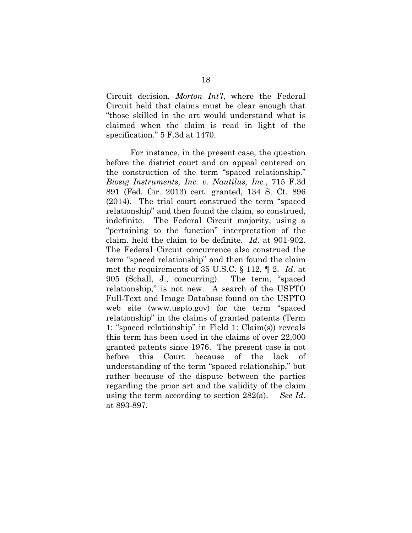Circuit decision, *Morton Int'l*, where the Federal Circuit held that claims must be clear enough that "those skilled in the art would understand what is claimed when the claim is read in light of the specification." 5 F.3d at 1470.

For instance, in the present case, the question before the district court and on appeal centered on the construction of the term "spaced relationship." *Biosig Instruments, Inc. v. Nautilus, Inc.*, 715 F.3d 891 (Fed. Cir. 2013) cert. granted, 134 S. Ct. 896 (2014). The trial court construed the term "spaced relationship" and then found the claim, so construed, indefinite. The Federal Circuit majority, using a "pertaining to the function" interpretation of the claim. held the claim to be definite. *Id.* at 901-902. The Federal Circuit concurrence also construed the term "spaced relationship" and then found the claim met the requirements of 35 U.S.C. § 112, ¶ 2. *Id*. at 905 (Schall, J., concurring). The term, "spaced relationship," is not new. A search of the USPTO Full-Text and Image Database found on the USPTO web site [\(www.uspto.gov\)](http://www.uspto.gov/) for the term "spaced relationship" in the claims of granted patents (Term 1: "spaced relationship" in Field 1: Claim(s)) reveals this term has been used in the claims of over 22,000 granted patents since 1976. The present case is not before this Court because of the lack understanding of the term "spaced relationship," but rather because of the dispute between the parties regarding the prior art and the validity of the claim using the term according to section 282(a). *See Id*. at 893-897.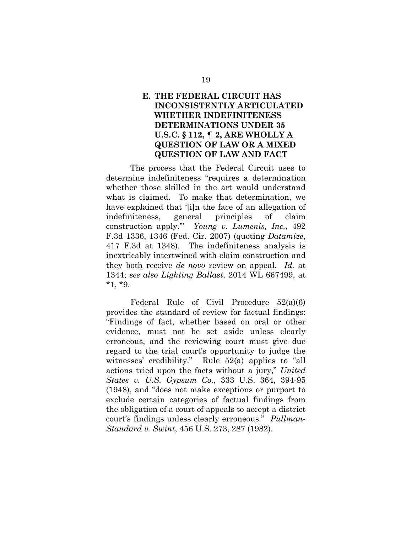## <span id="page-24-0"></span>**E. THE FEDERAL CIRCUIT HAS INCONSISTENTLY ARTICULATED WHETHER INDEFINITENESS DETERMINATIONS UNDER 35 U.S.C. § 112, ¶ 2, ARE WHOLLY A QUESTION OF LAW OR A MIXED QUESTION OF LAW AND FACT**

The process that the Federal Circuit uses to determine indefiniteness "requires a determination whether those skilled in the art would understand what is claimed. To make that determination, we have explained that '[i]n the face of an allegation of indefiniteness, general principles of claim construction apply.'" *Young v. Lumenis, Inc.*, 492 F.3d 1336, 1346 (Fed. Cir. 2007) (quoting *Datamize*, 417 F.3d at 1348). The indefiniteness analysis is inextricably intertwined with claim construction and they both receive *de novo* review on appeal. *Id.* at 1344; *see also Lighting Ballast*, 2014 WL 667499, at \*1, \*9.

Federal Rule of Civil Procedure 52(a)(6) provides the standard of review for factual findings: "Findings of fact, whether based on oral or other evidence, must not be set aside unless clearly erroneous, and the reviewing court must give due regard to the trial court's opportunity to judge the witnesses' credibility." Rule 52(a) applies to "all actions tried upon the facts without a jury," *United States v. U.S. Gypsum Co.*, 333 U.S. 364, 394-95 (1948), and "does not make exceptions or purport to exclude certain categories of factual findings from the obligation of a court of appeals to accept a district court's findings unless clearly erroneous." *Pullman-Standard v. Swint*, 456 U.S. 273, 287 (1982).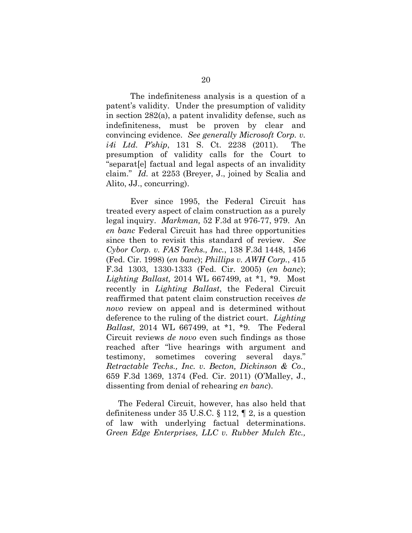The indefiniteness analysis is a question of a patent's validity. Under the presumption of validity in section 282(a), a patent invalidity defense, such as indefiniteness, must be proven by clear and convincing evidence. *See generally Microsoft Corp. v. i4i Ltd. P'ship*, 131 S. Ct. 2238 (2011). The presumption of validity calls for the Court to "separat[e] factual and legal aspects of an invalidity claim." *Id.* at 2253 (Breyer, J., joined by Scalia and Alito, JJ., concurring).

Ever since 1995, the Federal Circuit has treated every aspect of claim construction as a purely legal inquiry. *Markman,* 52 F.3d at 976-77, 979. An *en banc* Federal Circuit has had three opportunities since then to revisit this standard of review. *See Cybor Corp. v. FAS Techs., Inc.*, 138 F.3d 1448, 1456 (Fed. Cir. 1998) (*en banc*); *Phillips v. AWH Corp.*, 415 F.3d 1303, 1330-1333 (Fed. Cir. 2005) (*en banc*); *Lighting Ballast,* 2014 WL 667499, at \*1, \*9. Most recently in *Lighting Ballast*, the Federal Circuit reaffirmed that patent claim construction receives *de novo* review on appeal and is determined without deference to the ruling of the district court. *Lighting Ballast,* 2014 WL 667499, at \*1, \*9. The Federal Circuit reviews *de novo* even such findings as those reached after "live hearings with argument and testimony, sometimes covering several days." *Retractable Techs., Inc. v. Becton, Dickinson & Co*., 659 F.3d 1369, 1374 (Fed. Cir. 2011) (O'Malley, J., dissenting from denial of rehearing *en banc*).

The Federal Circuit, however, has also held that definiteness under 35 U.S.C. § 112, ¶ 2, is a question of law with underlying factual determinations. *Green Edge Enterprises, LLC v. Rubber Mulch Etc.,*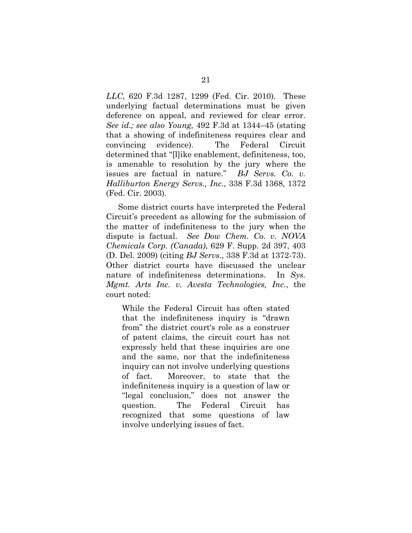*LLC*, 620 F.3d 1287, 1299 (Fed. Cir. 2010). These underlying factual determinations must be given deference on appeal, and reviewed for clear error. *See id.; see also Young,* 492 F.3d at 1344–45 (stating that a showing of indefiniteness requires clear and convincing evidence). The Federal Circuit determined that "[l]ike enablement, definiteness, too, is amenable to resolution by the jury where the issues are factual in nature." *BJ Servs. Co. v. Halliburton Energy Servs., Inc.*, 338 F.3d 1368, 1372 (Fed. Cir. 2003).

Some district courts have interpreted the Federal Circuit's precedent as allowing for the submission of the matter of indefiniteness to the jury when the dispute is factual. *See Dow Chem. Co. v. NOVA Chemicals Corp. (Canada)*, 629 F. Supp. 2d 397, 403 (D. Del. 2009) (citing *BJ Servs.*, 338 F.3d at 1372-73). Other district courts have discussed the unclear nature of indefiniteness determinations. In *Sys. Mgmt. Arts Inc. v. Avesta Technologies, Inc.*, the court noted:

While the Federal Circuit has often stated that the indefiniteness inquiry is "drawn from" the district court's role as a construer of patent claims, the circuit court has not expressly held that these inquiries are one and the same, nor that the indefiniteness inquiry can not involve underlying questions of fact. Moreover, to state that the indefiniteness inquiry is a question of law or "legal conclusion," does not answer the question. The Federal Circuit has recognized that some questions of law involve underlying issues of fact.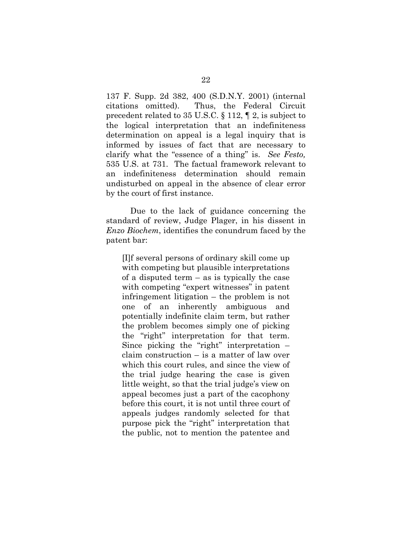137 F. Supp. 2d 382, 400 (S.D.N.Y. 2001) (internal citations omitted). Thus, the Federal Circuit precedent related to 35 U.S.C. § 112, ¶ 2, is subject to the logical interpretation that an indefiniteness determination on appeal is a legal inquiry that is informed by issues of fact that are necessary to clarify what the "essence of a thing" is. *See Festo,* 535 U.S. at 731. The factual framework relevant to an indefiniteness determination should remain undisturbed on appeal in the absence of clear error by the court of first instance.

Due to the lack of guidance concerning the standard of review, Judge Plager, in his dissent in *Enzo Biochem*, identifies the conundrum faced by the patent bar:

[I]f several persons of ordinary skill come up with competing but plausible interpretations of a disputed term – as is typically the case with competing "expert witnesses" in patent infringement litigation – the problem is not one of an inherently ambiguous and potentially indefinite claim term, but rather the problem becomes simply one of picking the "right" interpretation for that term. Since picking the "right" interpretation – claim construction – is a matter of law over which this court rules, and since the view of the trial judge hearing the case is given little weight, so that the trial judge's view on appeal becomes just a part of the cacophony before this court, it is not until three court of appeals judges randomly selected for that purpose pick the "right" interpretation that the public, not to mention the patentee and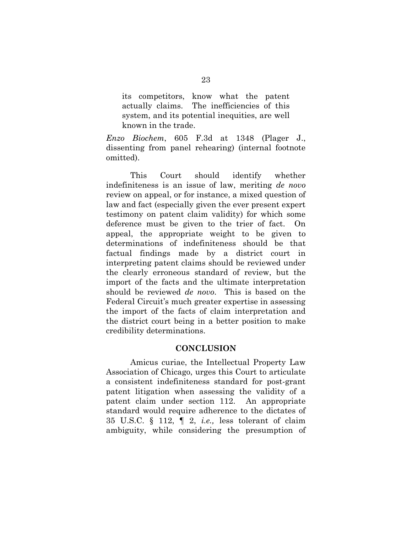its competitors, know what the patent actually claims. The inefficiencies of this system, and its potential inequities, are well known in the trade.

*Enzo Biochem*, 605 F.3d at 1348 (Plager J., dissenting from panel rehearing) (internal footnote omitted).

This Court should identify whether indefiniteness is an issue of law, meriting *de novo* review on appeal, or for instance, a mixed question of law and fact (especially given the ever present expert testimony on patent claim validity) for which some deference must be given to the trier of fact. On appeal, the appropriate weight to be given to determinations of indefiniteness should be that factual findings made by a district court in interpreting patent claims should be reviewed under the clearly erroneous standard of review, but the import of the facts and the ultimate interpretation should be reviewed *de novo*. This is based on the Federal Circuit's much greater expertise in assessing the import of the facts of claim interpretation and the district court being in a better position to make credibility determinations.

#### **CONCLUSION**

<span id="page-28-0"></span>Amicus curiae, the Intellectual Property Law Association of Chicago, urges this Court to articulate a consistent indefiniteness standard for post-grant patent litigation when assessing the validity of a patent claim under section 112. An appropriate standard would require adherence to the dictates of 35 U.S.C. § 112, ¶ 2, *i.e.,* less tolerant of claim ambiguity, while considering the presumption of